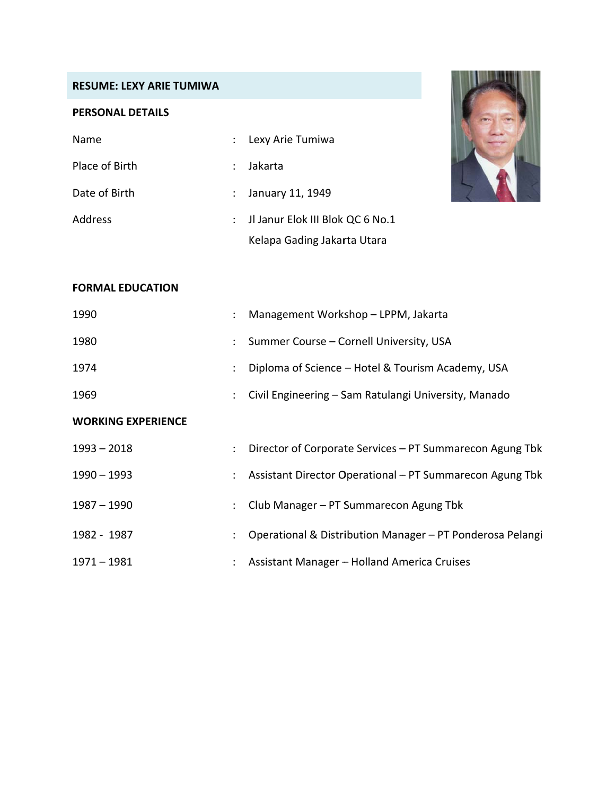# **RESUME: LEXY ARIE TUMIWA**

## **PERSONAL DETAILS**

| Name           | : Lexy Arie Tumiwa                 |
|----------------|------------------------------------|
| Place of Birth | : Jakarta                          |
| Date of Birth  | : January 11, 1949                 |
| Address        | : Jl Janur Elok III Blok QC 6 No.1 |
|                | Kelapa Gading Jakarta Utara        |



### **FORMAL EDUCATION**

| 1990                      | $\mathbb{Z}^{\mathbb{Z}}$ | Management Workshop - LPPM, Jakarta                       |
|---------------------------|---------------------------|-----------------------------------------------------------|
| 1980                      |                           | : Summer Course - Cornell University, USA                 |
| 1974                      |                           | Diploma of Science - Hotel & Tourism Academy, USA         |
| 1969                      |                           | : Civil Engineering – Sam Ratulangi University, Manado    |
| <b>WORKING EXPERIENCE</b> |                           |                                                           |
| $1993 - 2018$             | $\mathbb{Z}^{\mathbb{Z}}$ | Director of Corporate Services - PT Summarecon Agung Tbk  |
| $1990 - 1993$             | $\mathcal{L}$             | Assistant Director Operational - PT Summarecon Agung Tbk  |
| $1987 - 1990$             | $\ddot{\phantom{a}}$      | Club Manager - PT Summarecon Agung Tbk                    |
| 1982 - 1987               | ÷                         | Operational & Distribution Manager - PT Ponderosa Pelangi |
| 1971 - 1981               |                           | <b>Assistant Manager - Holland America Cruises</b>        |